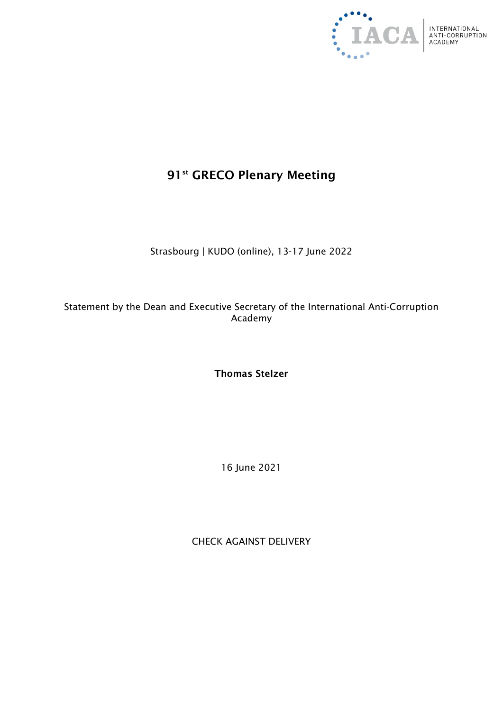

## 91<sup>st</sup> GRECO Plenary Meeting

Strasbourg | KUDO (online), 13-17 June 2022

Statement by the Dean and Executive Secretary of the International Anti-Corruption Academy

Thomas Stelzer

16 June 2021

CHECK AGAINST DELIVERY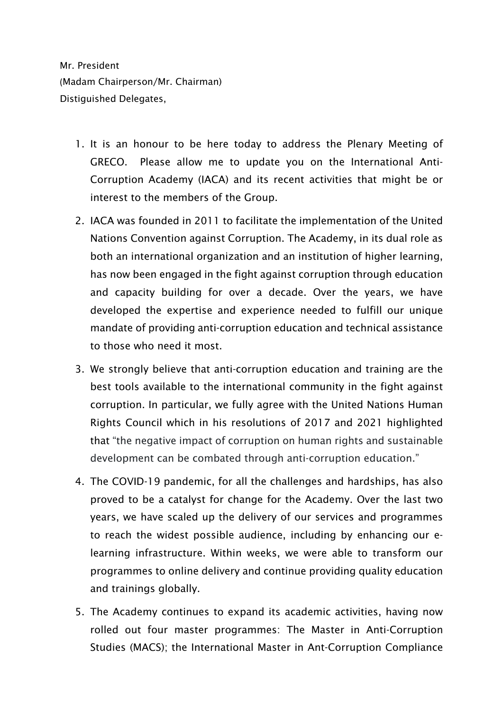Mr. President (Madam Chairperson/Mr. Chairman) Distiguished Delegates,

- 1. It is an honour to be here today to address the Plenary Meeting of GRECO. Please allow me to update you on the International Anti-Corruption Academy (IACA) and its recent activities that might be or interest to the members of the Group.
- 2. IACA was founded in 2011 to facilitate the implementation of the United Nations Convention against Corruption. The Academy, in its dual role as both an international organization and an institution of higher learning, has now been engaged in the fight against corruption through education and capacity building for over a decade. Over the years, we have developed the expertise and experience needed to fulfill our unique mandate of providing anti-corruption education and technical assistance to those who need it most.
- 3. We strongly believe that anti-corruption education and training are the best tools available to the international community in the fight against corruption. In particular, we fully agree with the United Nations Human Rights Council which in his resolutions of 2017 and 2021 highlighted that "the negative impact of corruption on human rights and sustainable development can be combated through anti-corruption education."
- 4. The COVID-19 pandemic, for all the challenges and hardships, has also proved to be a catalyst for change for the Academy. Over the last two years, we have scaled up the delivery of our services and programmes to reach the widest possible audience, including by enhancing our elearning infrastructure. Within weeks, we were able to transform our programmes to online delivery and continue providing quality education and trainings globally.
- 5. The Academy continues to expand its academic activities, having now rolled out four master programmes: The Master in Anti-Corruption Studies (MACS); the International Master in Ant-Corruption Compliance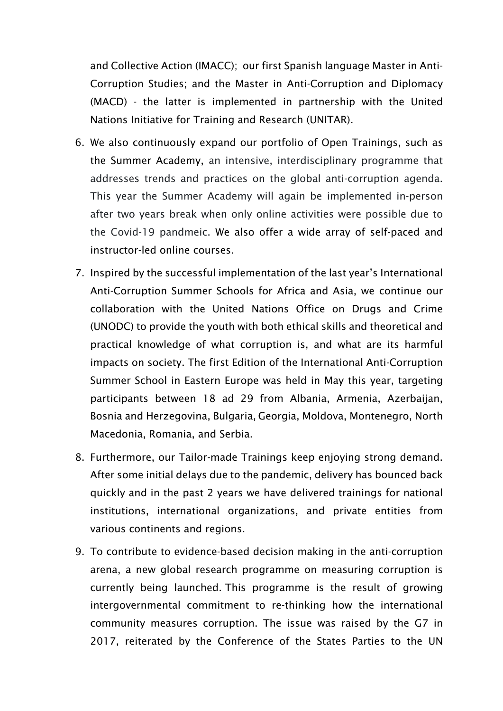and Collective Action (IMACC); our first Spanish language Master in Anti-Corruption Studies; and the Master in Anti-Corruption and Diplomacy (MACD) - the latter is implemented in partnership with the United Nations Initiative for Training and Research (UNITAR).

- 6. We also continuously expand our portfolio of Open Trainings, such as the Summer Academy, an intensive, interdisciplinary programme that addresses trends and practices on the global anti-corruption agenda. This year the Summer Academy will again be implemented in-person after two years break when only online activities were possible due to the Covid-19 pandmeic. We also offer a wide array of self-paced and instructor-led online courses.
- 7. Inspired by the successful implementation of the last year's International Anti-Corruption Summer Schools for Africa and Asia, we continue our collaboration with the United Nations Office on Drugs and Crime (UNODC) to provide the youth with both ethical skills and theoretical and practical knowledge of what corruption is, and what are its harmful impacts on society. The first Edition of the International Anti-Corruption Summer School in Eastern Europe was held in May this year, targeting participants between 18 ad 29 from Albania, Armenia, Azerbaijan, Bosnia and Herzegovina, Bulgaria, Georgia, Moldova, Montenegro, North Macedonia, Romania, and Serbia.
- 8. Furthermore, our Tailor-made Trainings keep enjoying strong demand. After some initial delays due to the pandemic, delivery has bounced back quickly and in the past 2 years we have delivered trainings for national institutions, international organizations, and private entities from various continents and regions.
- 9. To contribute to evidence-based decision making in the anti-corruption arena, a new global research programme on measuring corruption is currently being launched. This programme is the result of growing intergovernmental commitment to re-thinking how the international community measures corruption. The issue was raised by the G7 in 2017, reiterated by the Conference of the States Parties to the UN